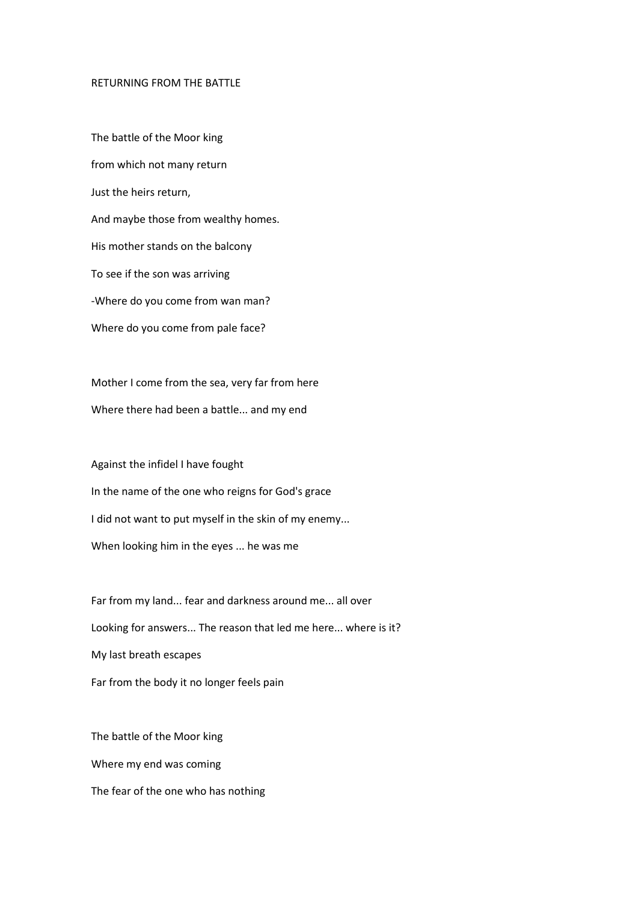## RETURNING FROM THE BATTLE

The battle of the Moor king from which not many return Just the heirs return, And maybe those from wealthy homes. His mother stands on the balcony To see if the son was arriving -Where do you come from wan man? Where do you come from pale face?

Mother I come from the sea, very far from here Where there had been a battle... and my end

Against the infidel I have fought In the name of the one who reigns for God's grace I did not want to put myself in the skin of my enemy... When looking him in the eyes ... he was me

Far from my land... fear and darkness around me... all over Looking for answers... The reason that led me here... where is it? My last breath escapes Far from the body it no longer feels pain

The battle of the Moor king Where my end was coming The fear of the one who has nothing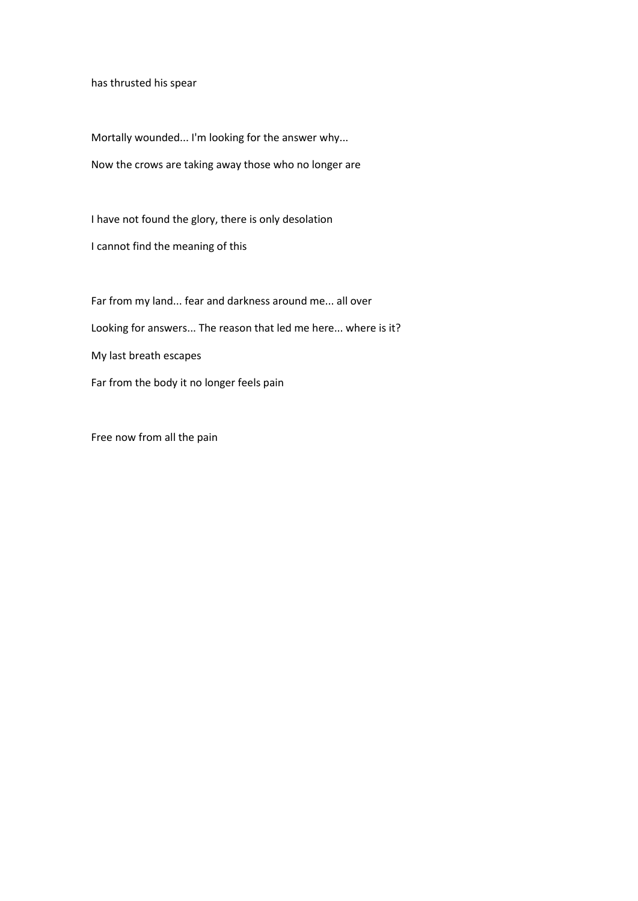has thrusted his spear

Mortally wounded... I'm looking for the answer why... Now the crows are taking away those who no longer are

I have not found the glory, there is only desolation

I cannot find the meaning of this

Far from my land... fear and darkness around me... all over Looking for answers... The reason that led me here... where is it? My last breath escapes Far from the body it no longer feels pain

Free now from all the pain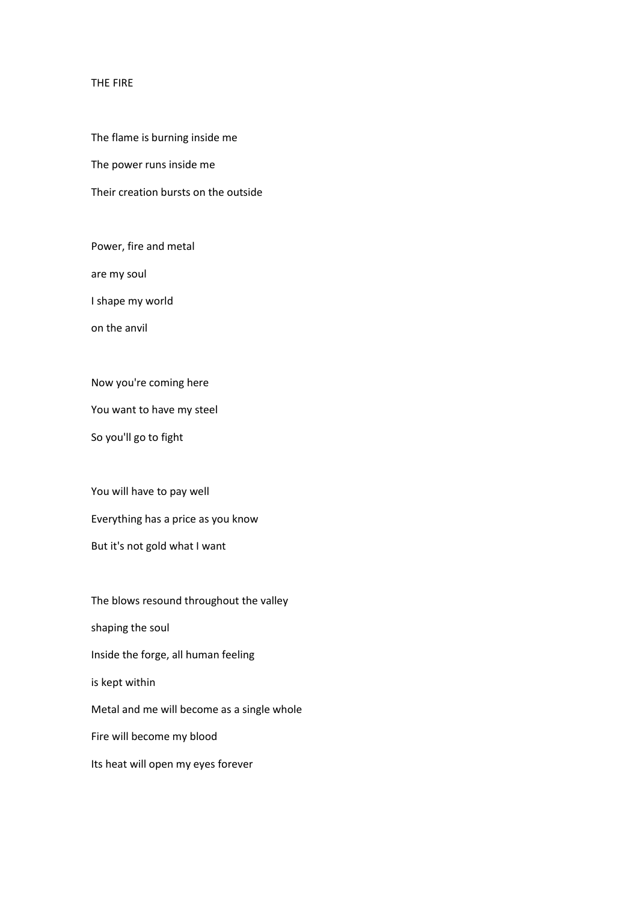## THE FIRE

The flame is burning inside me

The power runs inside me

Their creation bursts on the outside

Power, fire and metal

are my soul

I shape my world

on the anvil

Now you're coming here

You want to have my steel

So you'll go to fight

You will have to pay well

Everything has a price as you know

But it's not gold what I want

The blows resound throughout the valley shaping the soul Inside the forge, all human feeling is kept within Metal and me will become as a single whole Fire will become my blood Its heat will open my eyes forever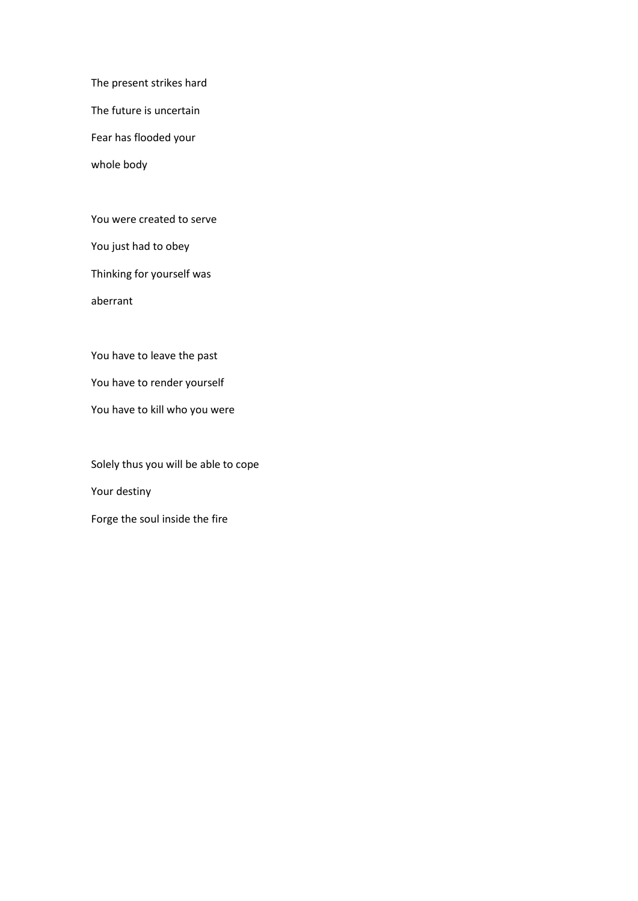The present strikes hard

The future is uncertain

Fear has flooded your

whole body

You were created to serve

You just had to obey

Thinking for yourself was

aberrant

You have to leave the past

You have to render yourself

You have to kill who you were

Solely thus you will be able to cope Your destiny Forge the soul inside the fire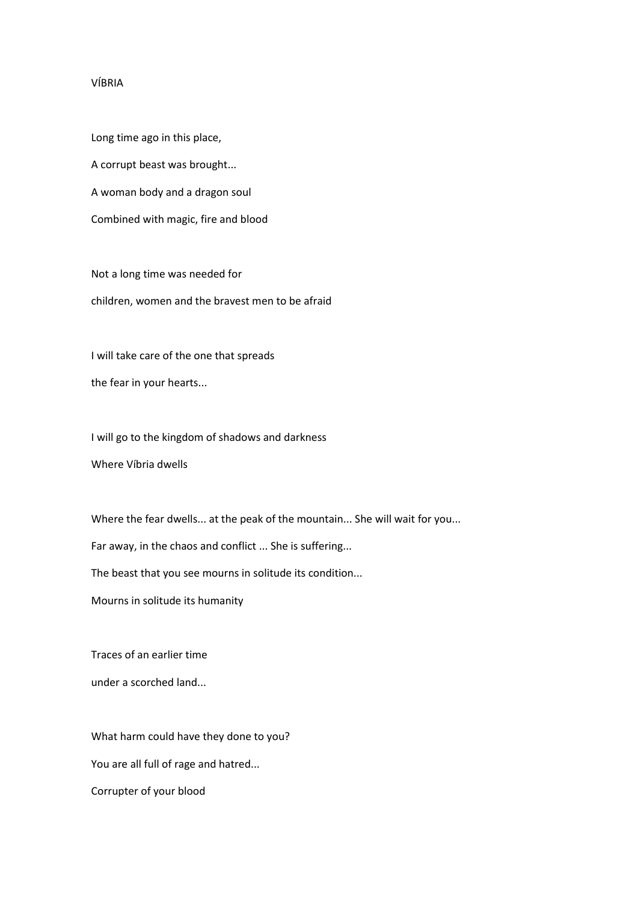## VÍBRIA

Long time ago in this place, A corrupt beast was brought... A woman body and a dragon soul Combined with magic, fire and blood

Not a long time was needed for children, women and the bravest men to be afraid

I will take care of the one that spreads the fear in your hearts...

I will go to the kingdom of shadows and darkness

Where Víbria dwells

Where the fear dwells... at the peak of the mountain... She will wait for you...

Far away, in the chaos and conflict ... She is suffering...

The beast that you see mourns in solitude its condition...

Mourns in solitude its humanity

Traces of an earlier time

under a scorched land...

What harm could have they done to you?

You are all full of rage and hatred...

Corrupter of your blood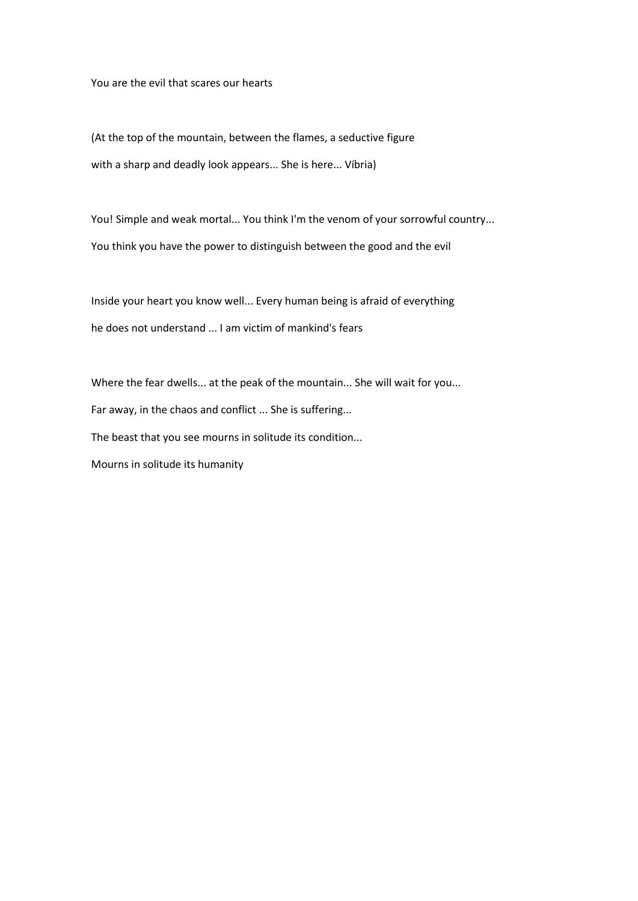You are the evil that scares our hearts

(At the top of the mountain, between the flames, a seductive figure with a sharp and deadly look appears... She is here... Víbria)

You! Simple and weak mortal... You think I'm the venom of your sorrowful country... You think you have the power to distinguish between the good and the evil

Inside your heart you know well... Every human being is afraid of everything he does not understand ... I am victim of mankind's fears

Where the fear dwells... at the peak of the mountain... She will wait for you... Far away, in the chaos and conflict ... She is suffering... The beast that you see mourns in solitude its condition... Mourns in solitude its humanity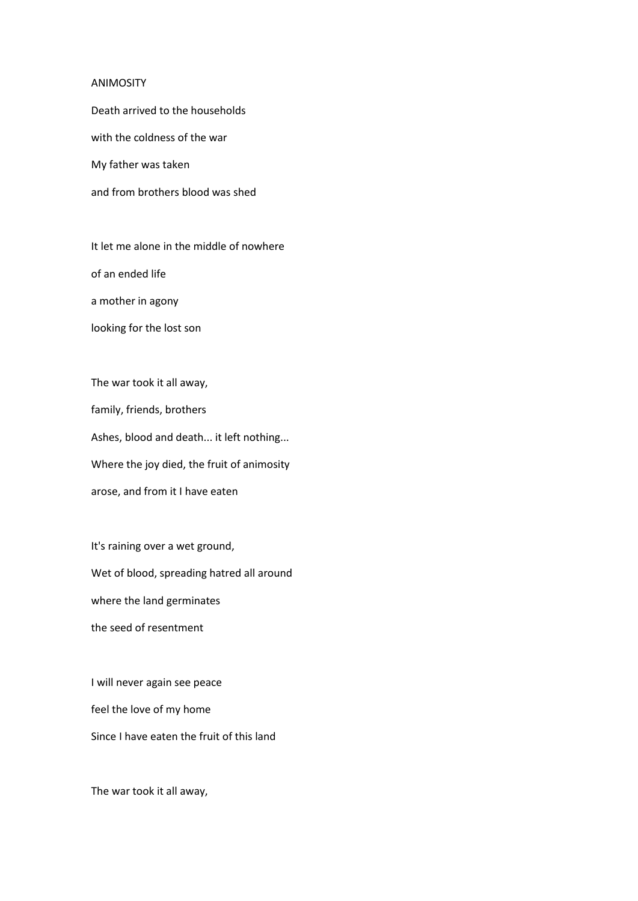## ANIMOSITY

Death arrived to the households

with the coldness of the war

My father was taken

and from brothers blood was shed

It let me alone in the middle of nowhere of an ended life a mother in agony

looking for the lost son

The war took it all away, family, friends, brothers Ashes, blood and death... it left nothing... Where the joy died, the fruit of animosity arose, and from it I have eaten

It's raining over a wet ground, Wet of blood, spreading hatred all around where the land germinates the seed of resentment

I will never again see peace feel the love of my home Since I have eaten the fruit of this land

The war took it all away,